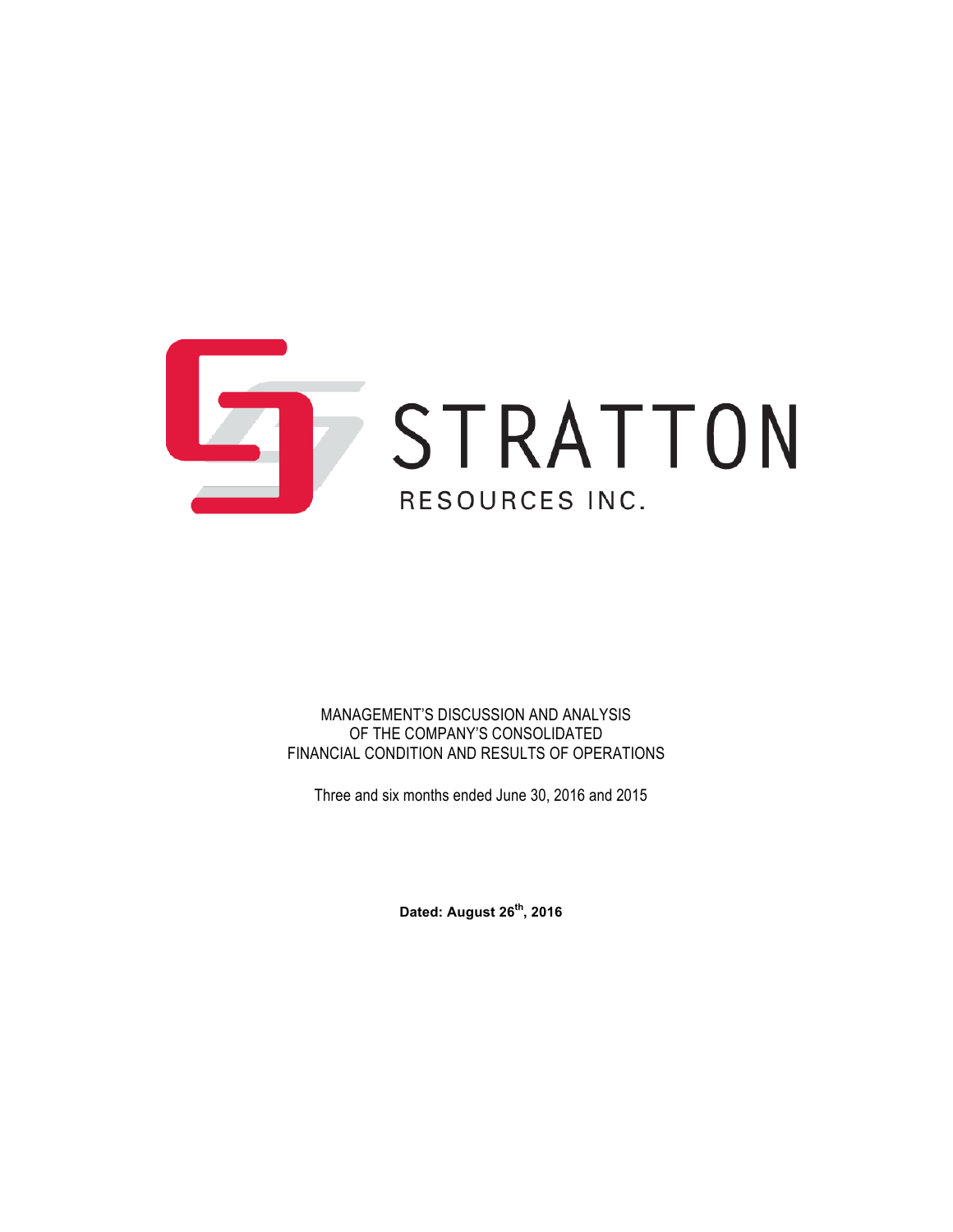

MANAGEMENT'S DISCUSSION AND ANALYSIS OF THE COMPANY'S CONSOLIDATED FINANCIAL CONDITION AND RESULTS OF OPERATIONS

Three and six months ended June 30, 2016 and 2015

**Dated: August 26th, 2016**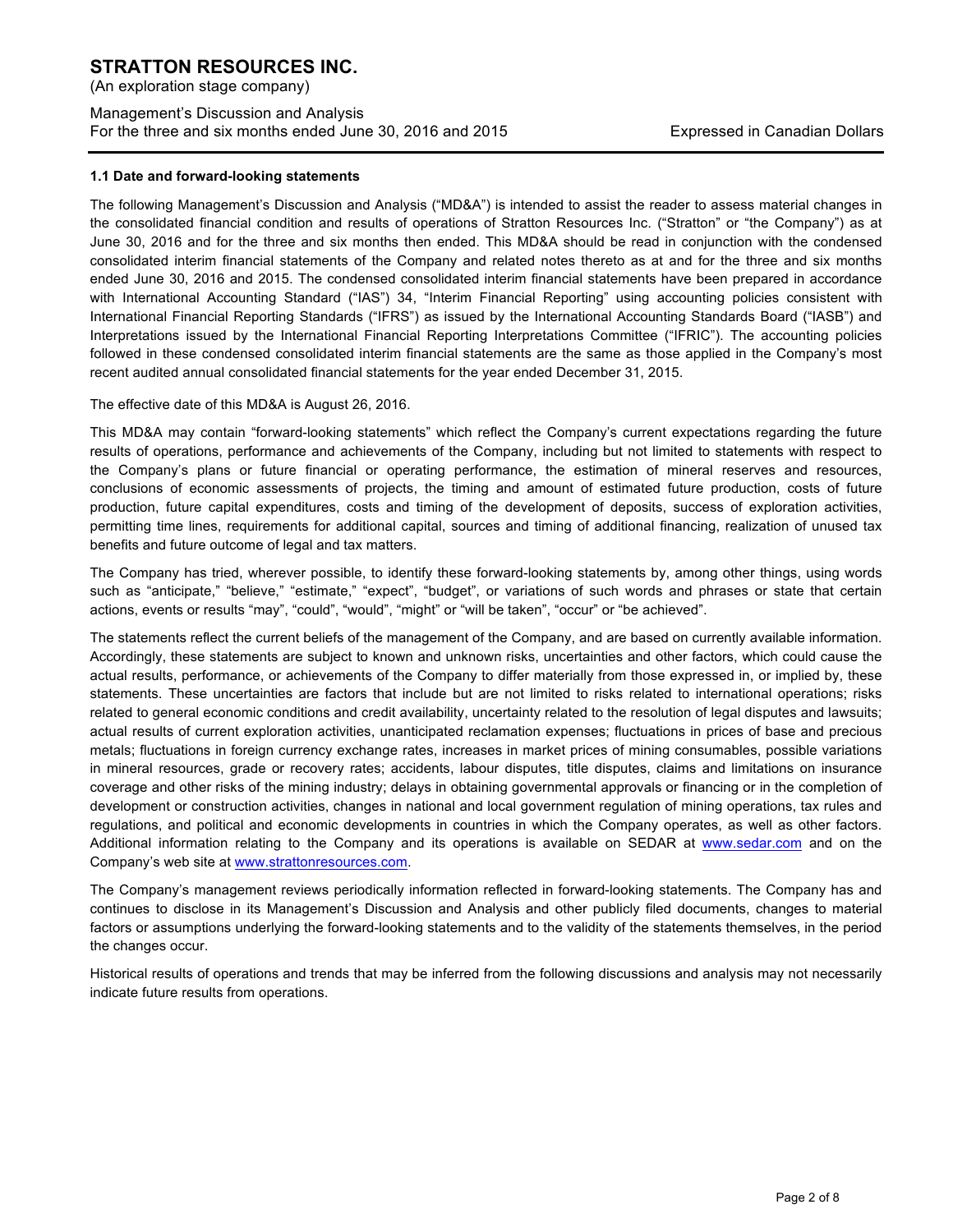(An exploration stage company)

## Management's Discussion and Analysis For the three and six months ended June 30, 2016 and 2015 Expressed in Canadian Dollars

#### **1.1 Date and forward-looking statements**

The following Management's Discussion and Analysis ("MD&A") is intended to assist the reader to assess material changes in the consolidated financial condition and results of operations of Stratton Resources Inc. ("Stratton" or "the Company") as at June 30, 2016 and for the three and six months then ended. This MD&A should be read in conjunction with the condensed consolidated interim financial statements of the Company and related notes thereto as at and for the three and six months ended June 30, 2016 and 2015. The condensed consolidated interim financial statements have been prepared in accordance with International Accounting Standard ("IAS") 34, "Interim Financial Reporting" using accounting policies consistent with International Financial Reporting Standards ("IFRS") as issued by the International Accounting Standards Board ("IASB") and Interpretations issued by the International Financial Reporting Interpretations Committee ("IFRIC"). The accounting policies followed in these condensed consolidated interim financial statements are the same as those applied in the Company's most recent audited annual consolidated financial statements for the year ended December 31, 2015.

The effective date of this MD&A is August 26, 2016.

This MD&A may contain "forward-looking statements" which reflect the Company's current expectations regarding the future results of operations, performance and achievements of the Company, including but not limited to statements with respect to the Company's plans or future financial or operating performance, the estimation of mineral reserves and resources, conclusions of economic assessments of projects, the timing and amount of estimated future production, costs of future production, future capital expenditures, costs and timing of the development of deposits, success of exploration activities, permitting time lines, requirements for additional capital, sources and timing of additional financing, realization of unused tax benefits and future outcome of legal and tax matters.

The Company has tried, wherever possible, to identify these forward-looking statements by, among other things, using words such as "anticipate," "believe," "estimate," "expect", "budget", or variations of such words and phrases or state that certain actions, events or results "may", "could", "would", "might" or "will be taken", "occur" or "be achieved".

The statements reflect the current beliefs of the management of the Company, and are based on currently available information. Accordingly, these statements are subject to known and unknown risks, uncertainties and other factors, which could cause the actual results, performance, or achievements of the Company to differ materially from those expressed in, or implied by, these statements. These uncertainties are factors that include but are not limited to risks related to international operations; risks related to general economic conditions and credit availability, uncertainty related to the resolution of legal disputes and lawsuits; actual results of current exploration activities, unanticipated reclamation expenses; fluctuations in prices of base and precious metals; fluctuations in foreign currency exchange rates, increases in market prices of mining consumables, possible variations in mineral resources, grade or recovery rates; accidents, labour disputes, title disputes, claims and limitations on insurance coverage and other risks of the mining industry; delays in obtaining governmental approvals or financing or in the completion of development or construction activities, changes in national and local government regulation of mining operations, tax rules and regulations, and political and economic developments in countries in which the Company operates, as well as other factors. Additional information relating to the Company and its operations is available on SEDAR at www.sedar.com and on the Company's web site at www.strattonresources.com.

The Company's management reviews periodically information reflected in forward-looking statements. The Company has and continues to disclose in its Management's Discussion and Analysis and other publicly filed documents, changes to material factors or assumptions underlying the forward-looking statements and to the validity of the statements themselves, in the period the changes occur.

Historical results of operations and trends that may be inferred from the following discussions and analysis may not necessarily indicate future results from operations.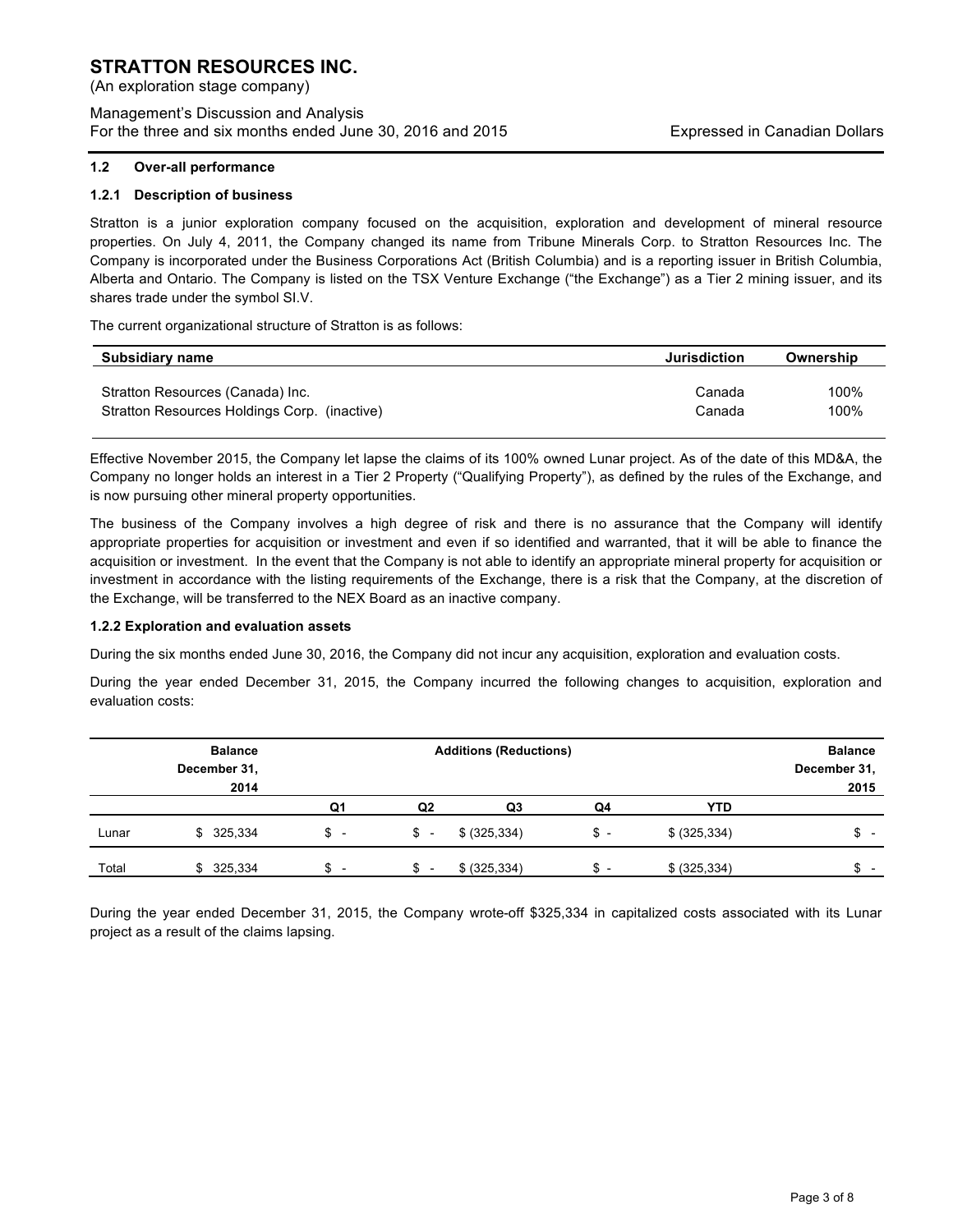(An exploration stage company)

Management's Discussion and Analysis For the three and six months ended June 30, 2016 and 2015 Expressed in Canadian Dollars

#### **1.2 Over-all performance**

#### **1.2.1 Description of business**

Stratton is a junior exploration company focused on the acquisition, exploration and development of mineral resource properties. On July 4, 2011, the Company changed its name from Tribune Minerals Corp. to Stratton Resources Inc. The Company is incorporated under the Business Corporations Act (British Columbia) and is a reporting issuer in British Columbia, Alberta and Ontario. The Company is listed on the TSX Venture Exchange ("the Exchange") as a Tier 2 mining issuer, and its shares trade under the symbol SI.V.

The current organizational structure of Stratton is as follows:

| Subsidiary name                              | Jurisdiction | Ownership |
|----------------------------------------------|--------------|-----------|
| Stratton Resources (Canada) Inc.             | Canada       | 100%      |
| Stratton Resources Holdings Corp. (inactive) | Canada       | 100%      |

Effective November 2015, the Company let lapse the claims of its 100% owned Lunar project. As of the date of this MD&A, the Company no longer holds an interest in a Tier 2 Property ("Qualifying Property"), as defined by the rules of the Exchange, and is now pursuing other mineral property opportunities.

The business of the Company involves a high degree of risk and there is no assurance that the Company will identify appropriate properties for acquisition or investment and even if so identified and warranted, that it will be able to finance the acquisition or investment. In the event that the Company is not able to identify an appropriate mineral property for acquisition or investment in accordance with the listing requirements of the Exchange, there is a risk that the Company, at the discretion of the Exchange, will be transferred to the NEX Board as an inactive company.

#### **1.2.2 Exploration and evaluation assets**

During the six months ended June 30, 2016, the Company did not incur any acquisition, exploration and evaluation costs.

During the year ended December 31, 2015, the Company incurred the following changes to acquisition, exploration and evaluation costs:

|       | <b>Balance</b> | <b>Additions (Reductions)</b>      |                          |                |       | <b>Balance</b> |              |
|-------|----------------|------------------------------------|--------------------------|----------------|-------|----------------|--------------|
|       | December 31,   |                                    |                          |                |       |                | December 31, |
|       | 2014           |                                    |                          |                |       |                | 2015         |
|       |                | Q1                                 | Q <sub>2</sub>           | Q <sub>3</sub> | Q4    | <b>YTD</b>     |              |
| Lunar | \$325,334      | \$ -                               | $s -$                    | \$ (325, 334)  | $S -$ | \$ (325, 334)  | \$ -         |
| Total | 325,334<br>\$  | c<br>$\overline{\phantom{0}}$<br>จ | $\overline{\phantom{0}}$ | \$ (325, 334)  | $s -$ | \$ (325, 334)  | \$.          |

During the year ended December 31, 2015, the Company wrote-off \$325,334 in capitalized costs associated with its Lunar project as a result of the claims lapsing.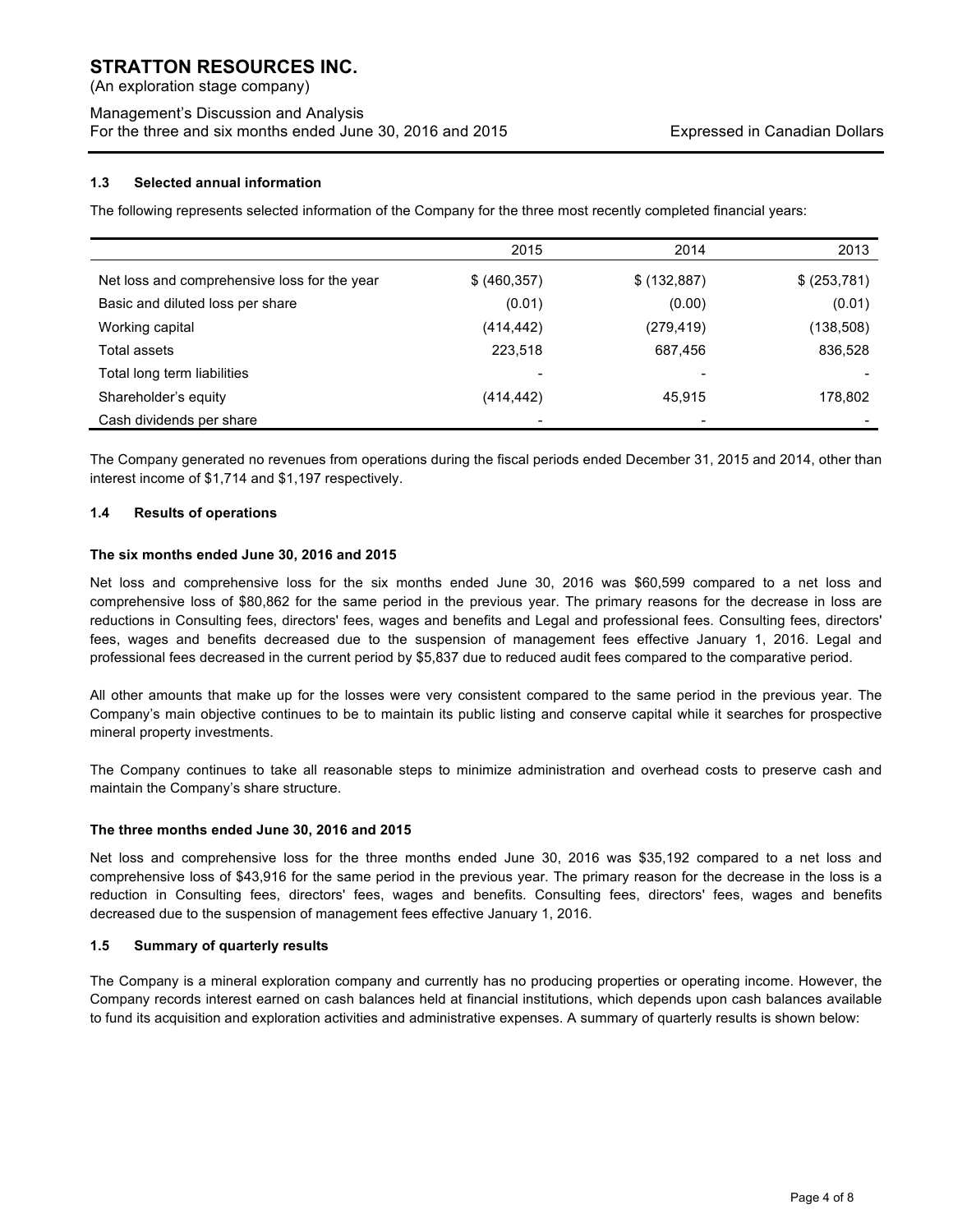(An exploration stage company)

## Management's Discussion and Analysis For the three and six months ended June 30, 2016 and 2015 Expressed in Canadian Dollars

### **1.3 Selected annual information**

The following represents selected information of the Company for the three most recently completed financial years:

|                                              | 2015          | 2014         | 2013         |
|----------------------------------------------|---------------|--------------|--------------|
| Net loss and comprehensive loss for the year | \$ (460, 357) | \$ (132,887) | \$ (253,781) |
| Basic and diluted loss per share             | (0.01)        | (0.00)       | (0.01)       |
| Working capital                              | (414, 442)    | (279, 419)   | (138,508)    |
| Total assets                                 | 223,518       | 687,456      | 836,528      |
| Total long term liabilities                  | -             |              |              |
| Shareholder's equity                         | (414, 442)    | 45,915       | 178,802      |
| Cash dividends per share                     |               |              |              |

The Company generated no revenues from operations during the fiscal periods ended December 31, 2015 and 2014, other than interest income of \$1,714 and \$1,197 respectively.

#### **1.4 Results of operations**

#### **The six months ended June 30, 2016 and 2015**

Net loss and comprehensive loss for the six months ended June 30, 2016 was \$60,599 compared to a net loss and comprehensive loss of \$80,862 for the same period in the previous year. The primary reasons for the decrease in loss are reductions in Consulting fees, directors' fees, wages and benefits and Legal and professional fees. Consulting fees, directors' fees, wages and benefits decreased due to the suspension of management fees effective January 1, 2016. Legal and professional fees decreased in the current period by \$5,837 due to reduced audit fees compared to the comparative period.

All other amounts that make up for the losses were very consistent compared to the same period in the previous year. The Company's main objective continues to be to maintain its public listing and conserve capital while it searches for prospective mineral property investments.

The Company continues to take all reasonable steps to minimize administration and overhead costs to preserve cash and maintain the Company's share structure.

#### **The three months ended June 30, 2016 and 2015**

Net loss and comprehensive loss for the three months ended June 30, 2016 was \$35,192 compared to a net loss and comprehensive loss of \$43,916 for the same period in the previous year. The primary reason for the decrease in the loss is a reduction in Consulting fees, directors' fees, wages and benefits. Consulting fees, directors' fees, wages and benefits decreased due to the suspension of management fees effective January 1, 2016.

#### **1.5 Summary of quarterly results**

The Company is a mineral exploration company and currently has no producing properties or operating income. However, the Company records interest earned on cash balances held at financial institutions, which depends upon cash balances available to fund its acquisition and exploration activities and administrative expenses. A summary of quarterly results is shown below: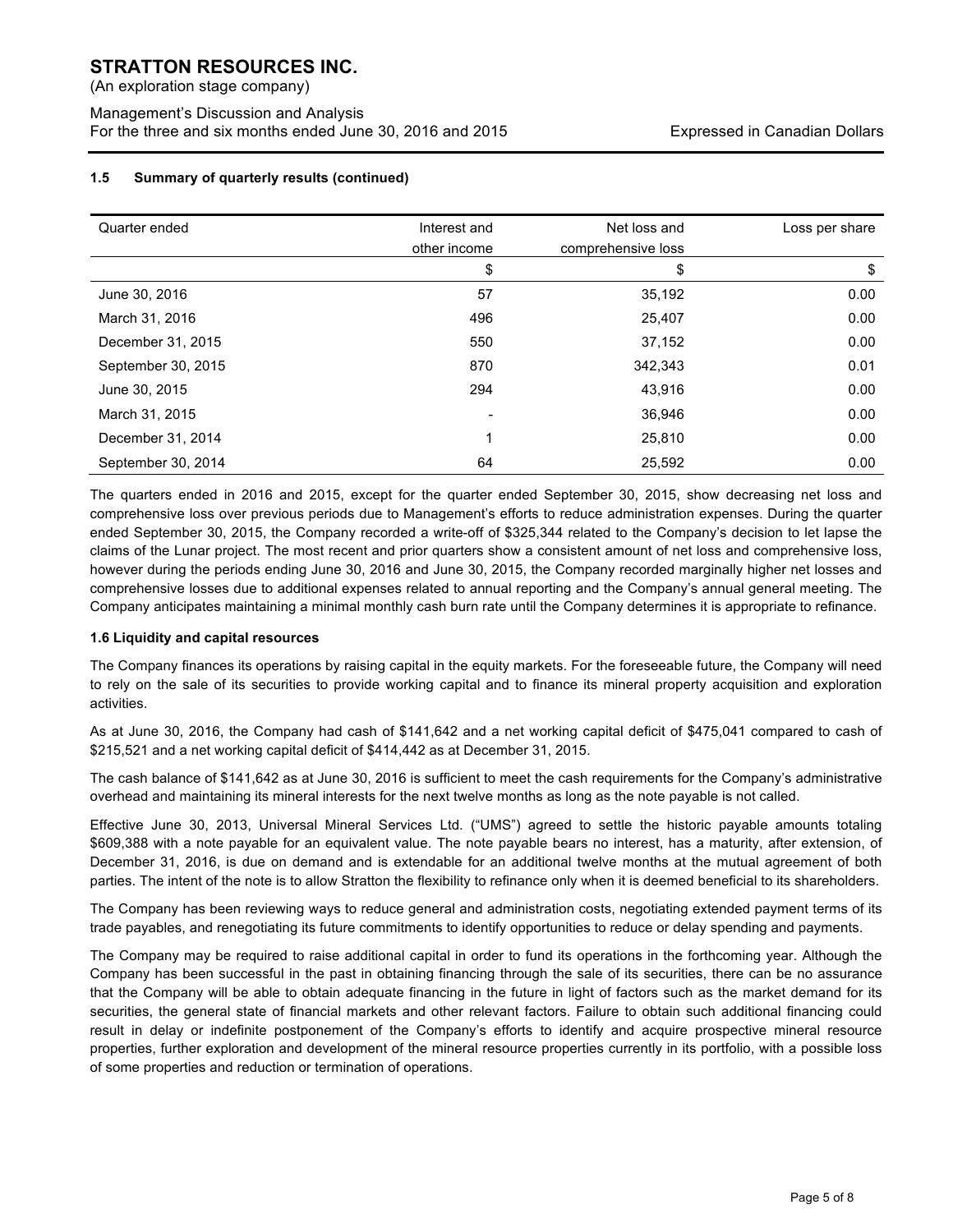(An exploration stage company)

Management's Discussion and Analysis For the three and six months ended June 30, 2016 and 2015 Expressed in Canadian Dollars

## **1.5 Summary of quarterly results (continued)**

| Quarter ended      | Interest and<br>other income | Net loss and<br>comprehensive loss | Loss per share |
|--------------------|------------------------------|------------------------------------|----------------|
|                    | \$                           | \$                                 | \$             |
| June 30, 2016      | 57                           | 35,192                             | 0.00           |
| March 31, 2016     | 496                          | 25,407                             | 0.00           |
| December 31, 2015  | 550                          | 37,152                             | 0.00           |
| September 30, 2015 | 870                          | 342,343                            | 0.01           |
| June 30, 2015      | 294                          | 43,916                             | 0.00           |
| March 31, 2015     |                              | 36,946                             | 0.00           |
| December 31, 2014  | 1                            | 25,810                             | 0.00           |
| September 30, 2014 | 64                           | 25,592                             | 0.00           |

The quarters ended in 2016 and 2015, except for the quarter ended September 30, 2015, show decreasing net loss and comprehensive loss over previous periods due to Management's efforts to reduce administration expenses. During the quarter ended September 30, 2015, the Company recorded a write-off of \$325,344 related to the Company's decision to let lapse the claims of the Lunar project. The most recent and prior quarters show a consistent amount of net loss and comprehensive loss, however during the periods ending June 30, 2016 and June 30, 2015, the Company recorded marginally higher net losses and comprehensive losses due to additional expenses related to annual reporting and the Company's annual general meeting. The Company anticipates maintaining a minimal monthly cash burn rate until the Company determines it is appropriate to refinance.

## **1.6 Liquidity and capital resources**

The Company finances its operations by raising capital in the equity markets. For the foreseeable future, the Company will need to rely on the sale of its securities to provide working capital and to finance its mineral property acquisition and exploration activities.

As at June 30, 2016, the Company had cash of \$141,642 and a net working capital deficit of \$475,041 compared to cash of \$215,521 and a net working capital deficit of \$414,442 as at December 31, 2015.

The cash balance of \$141,642 as at June 30, 2016 is sufficient to meet the cash requirements for the Company's administrative overhead and maintaining its mineral interests for the next twelve months as long as the note payable is not called.

Effective June 30, 2013, Universal Mineral Services Ltd. ("UMS") agreed to settle the historic payable amounts totaling \$609,388 with a note payable for an equivalent value. The note payable bears no interest, has a maturity, after extension, of December 31, 2016, is due on demand and is extendable for an additional twelve months at the mutual agreement of both parties. The intent of the note is to allow Stratton the flexibility to refinance only when it is deemed beneficial to its shareholders.

The Company has been reviewing ways to reduce general and administration costs, negotiating extended payment terms of its trade payables, and renegotiating its future commitments to identify opportunities to reduce or delay spending and payments.

The Company may be required to raise additional capital in order to fund its operations in the forthcoming year. Although the Company has been successful in the past in obtaining financing through the sale of its securities, there can be no assurance that the Company will be able to obtain adequate financing in the future in light of factors such as the market demand for its securities, the general state of financial markets and other relevant factors. Failure to obtain such additional financing could result in delay or indefinite postponement of the Company's efforts to identify and acquire prospective mineral resource properties, further exploration and development of the mineral resource properties currently in its portfolio, with a possible loss of some properties and reduction or termination of operations.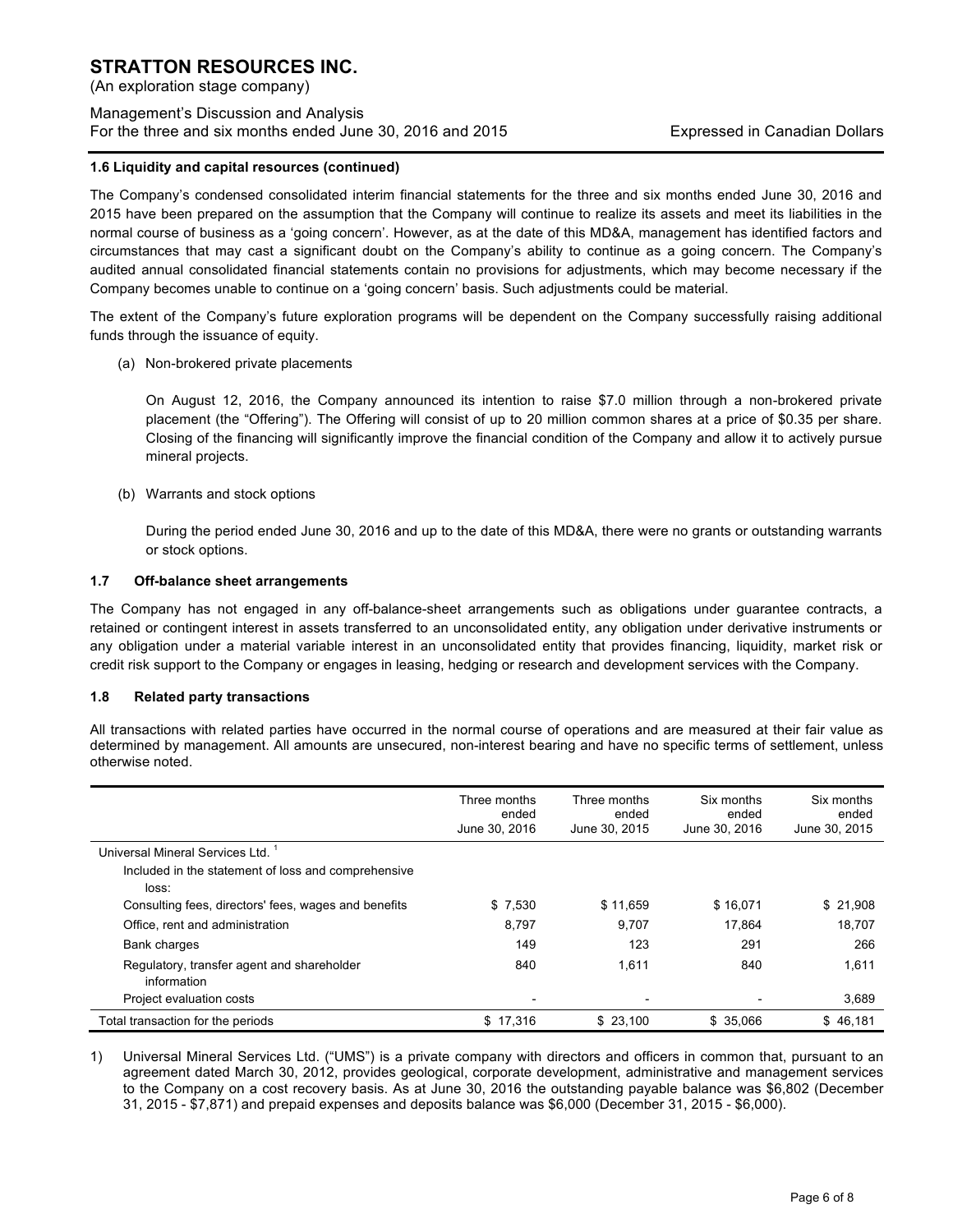(An exploration stage company)

## Management's Discussion and Analysis For the three and six months ended June 30, 2016 and 2015 Expressed in Canadian Dollars

#### **1.6 Liquidity and capital resources (continued)**

The Company's condensed consolidated interim financial statements for the three and six months ended June 30, 2016 and 2015 have been prepared on the assumption that the Company will continue to realize its assets and meet its liabilities in the normal course of business as a 'going concern'. However, as at the date of this MD&A, management has identified factors and circumstances that may cast a significant doubt on the Company's ability to continue as a going concern. The Company's audited annual consolidated financial statements contain no provisions for adjustments, which may become necessary if the Company becomes unable to continue on a 'going concern' basis. Such adjustments could be material.

The extent of the Company's future exploration programs will be dependent on the Company successfully raising additional funds through the issuance of equity.

(a) Non-brokered private placements

On August 12, 2016, the Company announced its intention to raise \$7.0 million through a non-brokered private placement (the "Offering"). The Offering will consist of up to 20 million common shares at a price of \$0.35 per share. Closing of the financing will significantly improve the financial condition of the Company and allow it to actively pursue mineral projects.

(b) Warrants and stock options

During the period ended June 30, 2016 and up to the date of this MD&A, there were no grants or outstanding warrants or stock options.

#### **1.7 Off-balance sheet arrangements**

The Company has not engaged in any off-balance-sheet arrangements such as obligations under guarantee contracts, a retained or contingent interest in assets transferred to an unconsolidated entity, any obligation under derivative instruments or any obligation under a material variable interest in an unconsolidated entity that provides financing, liquidity, market risk or credit risk support to the Company or engages in leasing, hedging or research and development services with the Company.

#### **1.8 Related party transactions**

All transactions with related parties have occurred in the normal course of operations and are measured at their fair value as determined by management. All amounts are unsecured, non-interest bearing and have no specific terms of settlement, unless otherwise noted.

|                                                              | Three months<br>ended<br>June 30, 2016 | Three months<br>ended<br>June 30, 2015 | Six months<br>ended<br>June 30, 2016 | Six months<br>ended<br>June 30, 2015 |
|--------------------------------------------------------------|----------------------------------------|----------------------------------------|--------------------------------------|--------------------------------------|
| Universal Mineral Services Ltd. <sup>1</sup>                 |                                        |                                        |                                      |                                      |
| Included in the statement of loss and comprehensive<br>loss: |                                        |                                        |                                      |                                      |
| Consulting fees, directors' fees, wages and benefits         | \$7,530                                | \$11,659                               | \$16,071                             | \$21,908                             |
| Office, rent and administration                              | 8,797                                  | 9,707                                  | 17.864                               | 18,707                               |
| Bank charges                                                 | 149                                    | 123                                    | 291                                  | 266                                  |
| Regulatory, transfer agent and shareholder<br>information    | 840                                    | 1,611                                  | 840                                  | 1,611                                |
| Project evaluation costs                                     |                                        | $\overline{\phantom{0}}$               |                                      | 3,689                                |
| Total transaction for the periods                            | \$17.316                               | \$23,100                               | \$ 35.066                            | \$46,181                             |

1) Universal Mineral Services Ltd. ("UMS") is a private company with directors and officers in common that, pursuant to an agreement dated March 30, 2012, provides geological, corporate development, administrative and management services to the Company on a cost recovery basis. As at June 30, 2016 the outstanding payable balance was \$6,802 (December 31, 2015 - \$7,871) and prepaid expenses and deposits balance was \$6,000 (December 31, 2015 - \$6,000).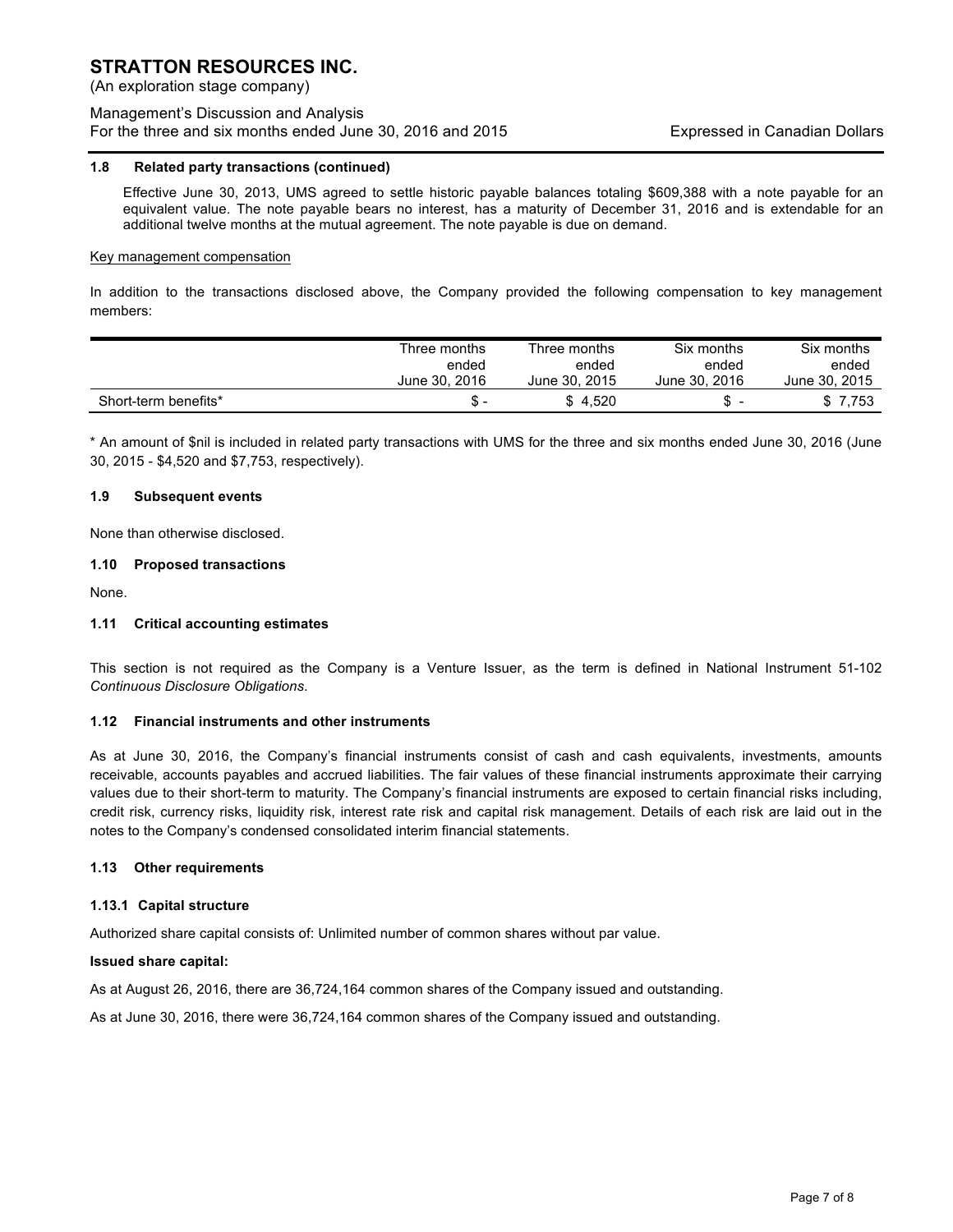(An exploration stage company)

## Management's Discussion and Analysis For the three and six months ended June 30, 2016 and 2015 Expressed in Canadian Dollars

#### **1.8 Related party transactions (continued)**

Effective June 30, 2013, UMS agreed to settle historic payable balances totaling \$609,388 with a note payable for an equivalent value. The note payable bears no interest, has a maturity of December 31, 2016 and is extendable for an additional twelve months at the mutual agreement. The note payable is due on demand.

#### Key management compensation

In addition to the transactions disclosed above, the Company provided the following compensation to key management members:

|                      | Three months  | Three months  | Six months    | Six months    |
|----------------------|---------------|---------------|---------------|---------------|
|                      | ended         | ended         | ended         | ended         |
|                      | June 30, 2016 | June 30, 2015 | June 30, 2016 | June 30, 2015 |
| Short-term benefits* | S             | \$4.520       | S             | \$ 7,753      |

\* An amount of \$nil is included in related party transactions with UMS for the three and six months ended June 30, 2016 (June 30, 2015 - \$4,520 and \$7,753, respectively).

#### **1.9 Subsequent events**

None than otherwise disclosed.

#### **1.10 Proposed transactions**

None.

#### **1.11 Critical accounting estimates**

This section is not required as the Company is a Venture Issuer, as the term is defined in National Instrument 51-102 *Continuous Disclosure Obligations*.

#### **1.12 Financial instruments and other instruments**

As at June 30, 2016, the Company's financial instruments consist of cash and cash equivalents, investments, amounts receivable, accounts payables and accrued liabilities. The fair values of these financial instruments approximate their carrying values due to their short-term to maturity. The Company's financial instruments are exposed to certain financial risks including, credit risk, currency risks, liquidity risk, interest rate risk and capital risk management. Details of each risk are laid out in the notes to the Company's condensed consolidated interim financial statements.

#### **1.13 Other requirements**

#### **1.13.1 Capital structure**

Authorized share capital consists of: Unlimited number of common shares without par value.

#### **Issued share capital:**

As at August 26, 2016, there are 36,724,164 common shares of the Company issued and outstanding.

As at June 30, 2016, there were 36,724,164 common shares of the Company issued and outstanding.